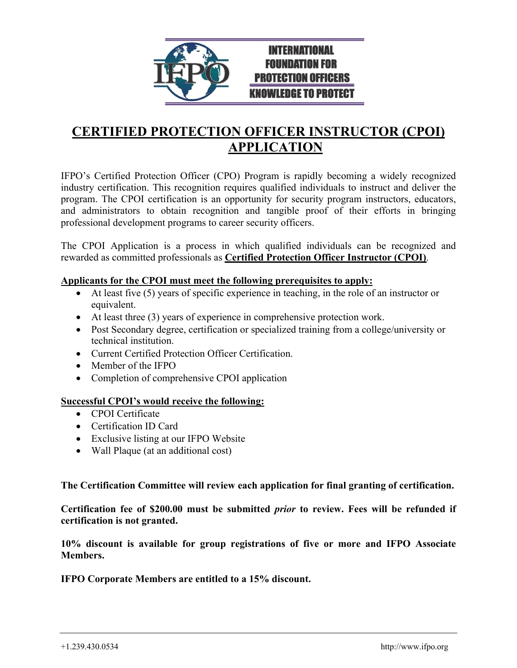

## **CERTIFIED PROTECTION OFFICER INSTRUCTOR (CPOI) APPLICATION**

IFPO's Certified Protection Officer (CPO) Program is rapidly becoming a widely recognized industry certification. This recognition requires qualified individuals to instruct and deliver the program. The CPOI certification is an opportunity for security program instructors, educators, and administrators to obtain recognition and tangible proof of their efforts in bringing professional development programs to career security officers.

The CPOI Application is a process in which qualified individuals can be recognized and rewarded as committed professionals as **Certified Protection Officer Instructor (CPOI)**.

#### **Applicants for the CPOI must meet the following prerequisites to apply:**

- At least five (5) years of specific experience in teaching, in the role of an instructor or equivalent.
- At least three (3) years of experience in comprehensive protection work.
- Post Secondary degree, certification or specialized training from a college/university or technical institution.
- Current Certified Protection Officer Certification.
- Member of the IFPO
- Completion of comprehensive CPOI application

#### **Successful CPOI's would receive the following:**

- CPOI Certificate
- Certification ID Card
- Exclusive listing at our IFPO Website
- Wall Plaque (at an additional cost)

**The Certification Committee will review each application for final granting of certification.** 

**Certification fee of \$200.00 must be submitted** *prior* **to review. Fees will be refunded if certification is not granted.**

**10% discount is available for group registrations of five or more and IFPO Associate Members.** 

**IFPO Corporate Members are entitled to a 15% discount.**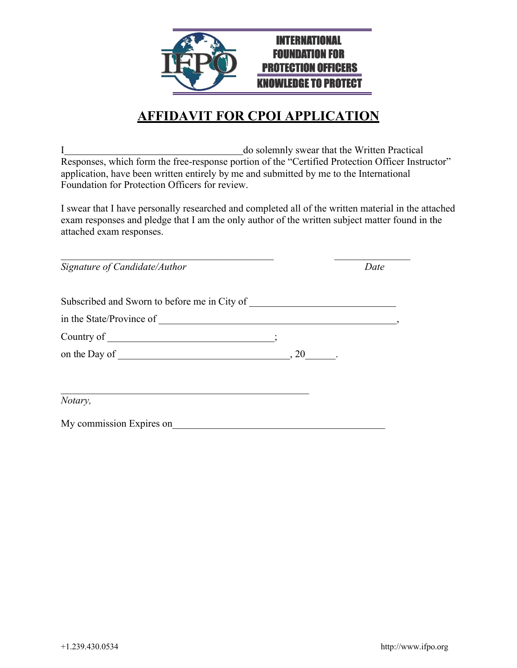

## **AFFIDAVIT FOR CPOI APPLICATION**

I do solemnly swear that the Written Practical Responses, which form the free-response portion of the "Certified Protection Officer Instructor" application, have been written entirely by me and submitted by me to the International Foundation for Protection Officers for review.

I swear that I have personally researched and completed all of the written material in the attached exam responses and pledge that I am the only author of the written subject matter found in the attached exam responses.

| Signature of Candidate/Author                | Date |
|----------------------------------------------|------|
| Subscribed and Sworn to before me in City of |      |
|                                              |      |
|                                              |      |
|                                              |      |
| Notary,                                      |      |
| My commission Expires on                     |      |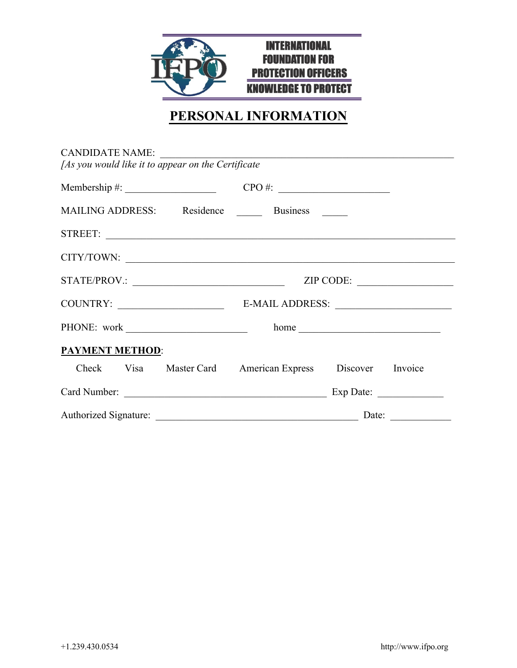

# **PERSONAL INFORMATION**

| CANDIDATE NAME:<br>[As you would like it to appear on the Certificate |  |  |       |           |  |
|-----------------------------------------------------------------------|--|--|-------|-----------|--|
|                                                                       |  |  |       |           |  |
| MAILING ADDRESS: Residence Business                                   |  |  |       |           |  |
| STREET:                                                               |  |  |       |           |  |
| CITY/TOWN:                                                            |  |  |       |           |  |
| STATE/PROV.:                                                          |  |  |       | ZIP CODE: |  |
| COUNTRY:                                                              |  |  |       |           |  |
| PHONE: work                                                           |  |  | home  |           |  |
| PAYMENT METHOD:                                                       |  |  |       |           |  |
| Check Visa Master Card American Express Discover Invoice              |  |  |       |           |  |
|                                                                       |  |  |       |           |  |
| Authorized Signature:                                                 |  |  | Date: |           |  |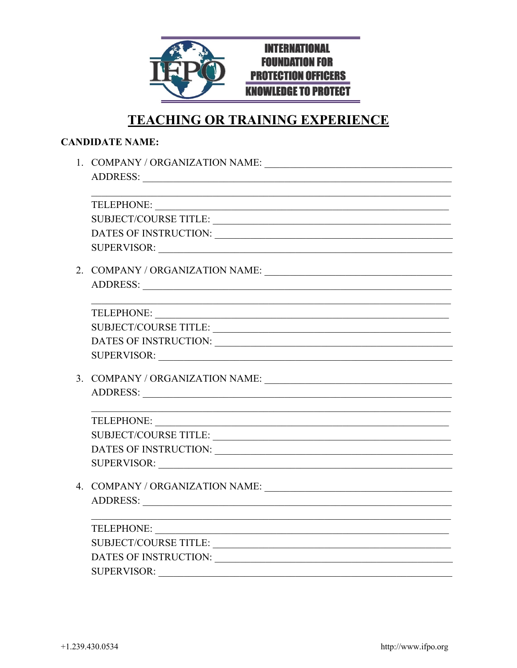

## **TEACHING OR TRAINING EXPERIENCE**

| SUPERVISOR:                                                                                                                                                                                                                   |
|-------------------------------------------------------------------------------------------------------------------------------------------------------------------------------------------------------------------------------|
|                                                                                                                                                                                                                               |
|                                                                                                                                                                                                                               |
|                                                                                                                                                                                                                               |
|                                                                                                                                                                                                                               |
| SUBJECT/COURSE TITLE:                                                                                                                                                                                                         |
|                                                                                                                                                                                                                               |
| SUPERVISOR:                                                                                                                                                                                                                   |
|                                                                                                                                                                                                                               |
|                                                                                                                                                                                                                               |
| <u> 1989 - Johann John Stein, mars an deus Amerikaansk kommunister (</u>                                                                                                                                                      |
| TELEPHONE:                                                                                                                                                                                                                    |
| SUBJECT/COURSE TITLE:                                                                                                                                                                                                         |
| DATES OF INSTRUCTION: University of the state of the state of the state of the state of the state of the state of the state of the state of the state of the state of the state of the state of the state of the state of the |
|                                                                                                                                                                                                                               |
|                                                                                                                                                                                                                               |
|                                                                                                                                                                                                                               |
| <u> 1980 - Johann John Stein, mars an deus Amerikaansk kommunister (* 1950)</u>                                                                                                                                               |
| TELEPHONE:                                                                                                                                                                                                                    |
| SUBJECT/COURSE TITLE:                                                                                                                                                                                                         |
| DATES OF INSTRUCTION: UNITED STATES OF INSTRUCTION:                                                                                                                                                                           |
| $SI$ IPER VISOR $\cdot$                                                                                                                                                                                                       |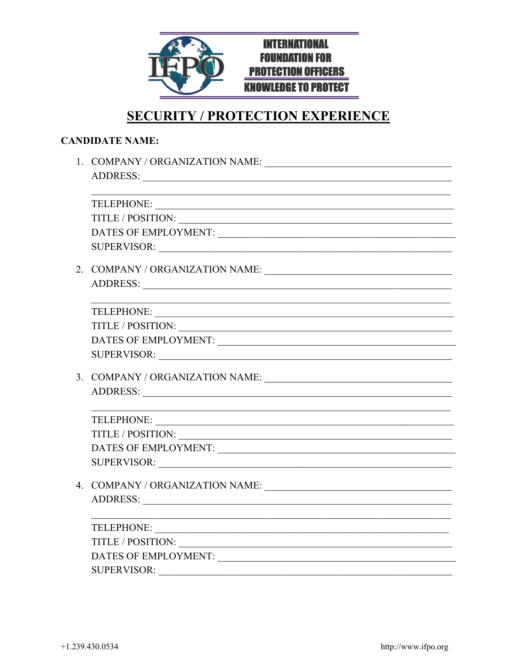

## **SECURITY / PROTECTION EXPERIENCE**

| TELEPHONE:                                                                                                                                                                                                                     |
|--------------------------------------------------------------------------------------------------------------------------------------------------------------------------------------------------------------------------------|
|                                                                                                                                                                                                                                |
|                                                                                                                                                                                                                                |
| SUPERVISOR: New York Contract the Contract of the Contract of the Contract of the Contract of the Contract of the Contract of the Contract of the Contract of the Contract of the Contract of the Contract of the Contract of  |
|                                                                                                                                                                                                                                |
| ADDRESS: New York Contract to the Contract of the Contract of the Contract of the Contract of the Contract of the Contract of the Contract of the Contract of the Contract of the Contract of the Contract of the Contract of  |
|                                                                                                                                                                                                                                |
|                                                                                                                                                                                                                                |
| TITLE / POSITION:                                                                                                                                                                                                              |
|                                                                                                                                                                                                                                |
|                                                                                                                                                                                                                                |
|                                                                                                                                                                                                                                |
| ADDRESS: New York Contract of the Second Contract of the Second Contract of the Second Contract of the Second Contract of the Second Contract of the Second Contract of the Second Contract of the Second Contract of the Seco |
|                                                                                                                                                                                                                                |
|                                                                                                                                                                                                                                |
|                                                                                                                                                                                                                                |
| DATES OF EMPLOYMENT:                                                                                                                                                                                                           |
| SUPERVISOR: New York Contract to the Contract of the Contract of the Contract of the Contract of the Contract of the Contract of the Contract of the Contract of the Contract of the Contract of the Contract of the Contract  |
|                                                                                                                                                                                                                                |
|                                                                                                                                                                                                                                |
|                                                                                                                                                                                                                                |
| TELEPHONE:                                                                                                                                                                                                                     |
| TITLE / POSITION:                                                                                                                                                                                                              |
|                                                                                                                                                                                                                                |
| <b>SUPERVISOR:</b>                                                                                                                                                                                                             |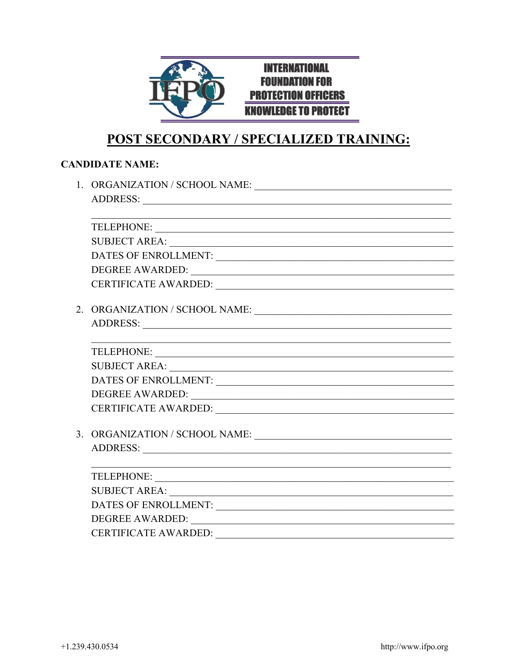

# **POST SECONDARY / SPECIALIZED TRAINING:**

|  | DATES OF ENROLLMENT:                                                                                                                                                                                                                                                                                                                                                                                                                                                                                                                                                                                                                       |  |  |
|--|--------------------------------------------------------------------------------------------------------------------------------------------------------------------------------------------------------------------------------------------------------------------------------------------------------------------------------------------------------------------------------------------------------------------------------------------------------------------------------------------------------------------------------------------------------------------------------------------------------------------------------------------|--|--|
|  |                                                                                                                                                                                                                                                                                                                                                                                                                                                                                                                                                                                                                                            |  |  |
|  |                                                                                                                                                                                                                                                                                                                                                                                                                                                                                                                                                                                                                                            |  |  |
|  | $2. ORGANIZATION / SCHOOL NAME: \underline{\hspace{2cm}} \underline{\hspace{2cm}} \underline{\hspace{2cm}} \underline{\hspace{2cm}} \underline{\hspace{2cm}} \underline{\hspace{2cm}} \underline{\hspace{2cm}} \underline{\hspace{2cm}} \underline{\hspace{2cm}} \underline{\hspace{2cm}} \underline{\hspace{2cm}} \underline{\hspace{2cm}} \underline{\hspace{2cm}} \underline{\hspace{2cm}} \underline{\hspace{2cm}} \underline{\hspace{2cm}} \underline{\hspace{2cm}} \underline{\hspace{2cm}} \underline{\hspace{2cm}} \underline{\hspace{2cm}} \underline{\hspace{2cm}} \underline{\hspace{2cm}} \underline{\hspace{2cm}} \underline$ |  |  |
|  |                                                                                                                                                                                                                                                                                                                                                                                                                                                                                                                                                                                                                                            |  |  |
|  |                                                                                                                                                                                                                                                                                                                                                                                                                                                                                                                                                                                                                                            |  |  |
|  | TELEPHONE:                                                                                                                                                                                                                                                                                                                                                                                                                                                                                                                                                                                                                                 |  |  |
|  | SUBJECT AREA: NAME AND SUBJECT AREA:                                                                                                                                                                                                                                                                                                                                                                                                                                                                                                                                                                                                       |  |  |
|  |                                                                                                                                                                                                                                                                                                                                                                                                                                                                                                                                                                                                                                            |  |  |
|  |                                                                                                                                                                                                                                                                                                                                                                                                                                                                                                                                                                                                                                            |  |  |
|  |                                                                                                                                                                                                                                                                                                                                                                                                                                                                                                                                                                                                                                            |  |  |
|  | 3. ORGANIZATION / SCHOOL NAME: $\_\_$                                                                                                                                                                                                                                                                                                                                                                                                                                                                                                                                                                                                      |  |  |
|  | ADDRESS: New York Contract the Contract of the Contract of the Contract of the Contract of the Contract of the Contract of the Contract of the Contract of the Contract of the Contract of the Contract of the Contract of the                                                                                                                                                                                                                                                                                                                                                                                                             |  |  |
|  |                                                                                                                                                                                                                                                                                                                                                                                                                                                                                                                                                                                                                                            |  |  |
|  |                                                                                                                                                                                                                                                                                                                                                                                                                                                                                                                                                                                                                                            |  |  |
|  | SUBJECT AREA: NAME AND SUBJECT AREA:                                                                                                                                                                                                                                                                                                                                                                                                                                                                                                                                                                                                       |  |  |
|  |                                                                                                                                                                                                                                                                                                                                                                                                                                                                                                                                                                                                                                            |  |  |
|  |                                                                                                                                                                                                                                                                                                                                                                                                                                                                                                                                                                                                                                            |  |  |
|  | <b>CERTIFICATE AWARDED:</b>                                                                                                                                                                                                                                                                                                                                                                                                                                                                                                                                                                                                                |  |  |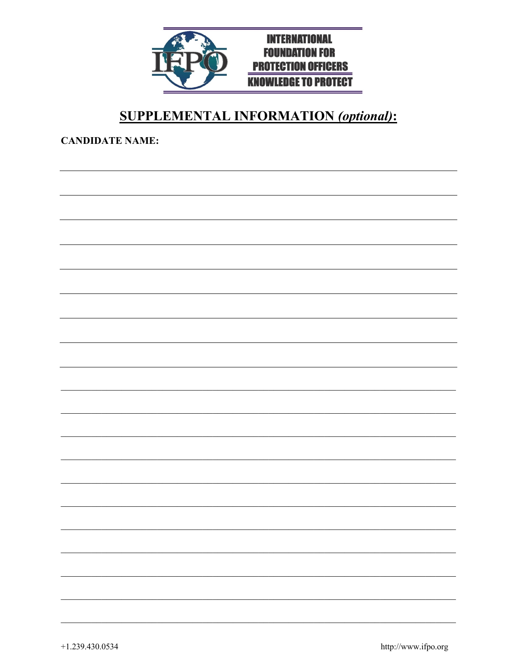

## **SUPPLEMENTAL INFORMATION (optional):**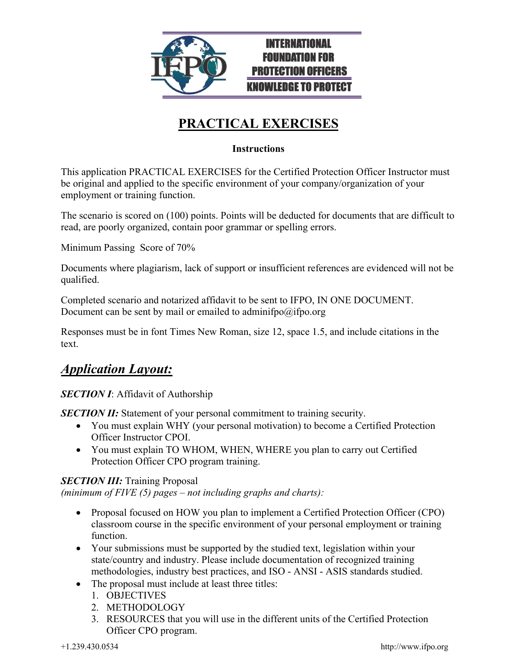

# **PRACTICAL EXERCISES**

### **Instructions**

This application PRACTICAL EXERCISES for the Certified Protection Officer Instructor must be original and applied to the specific environment of your company/organization of your employment or training function.

The scenario is scored on (100) points. Points will be deducted for documents that are difficult to read, are poorly organized, contain poor grammar or spelling errors.

Minimum Passing Score of 70%

Documents where plagiarism, lack of support or insufficient references are evidenced will not be qualified.

Completed scenario and notarized affidavit to be sent to IFPO, IN ONE DOCUMENT. Document can be sent by mail or emailed to adminifpo@ifpo.org

Responses must be in font Times New Roman, size 12, space 1.5, and include citations in the text.

### *Application Layout:*

### **SECTION I:** Affidavit of Authorship

*SECTION II:* Statement of your personal commitment to training security.

- You must explain WHY (your personal motivation) to become a Certified Protection Officer Instructor CPOI.
- You must explain TO WHOM, WHEN, WHERE you plan to carry out Certified Protection Officer CPO program training.

### *SECTION III:* Training Proposal

*(minimum of FIVE (5) pages – not including graphs and charts):* 

- Proposal focused on HOW you plan to implement a Certified Protection Officer (CPO) classroom course in the specific environment of your personal employment or training function.
- Your submissions must be supported by the studied text, legislation within your state/country and industry. Please include documentation of recognized training methodologies, industry best practices, and ISO - ANSI - ASIS standards studied.
- The proposal must include at least three titles:
	- 1. OBJECTIVES
	- 2. METHODOLOGY
	- 3. RESOURCES that you will use in the different units of the Certified Protection Officer CPO program.